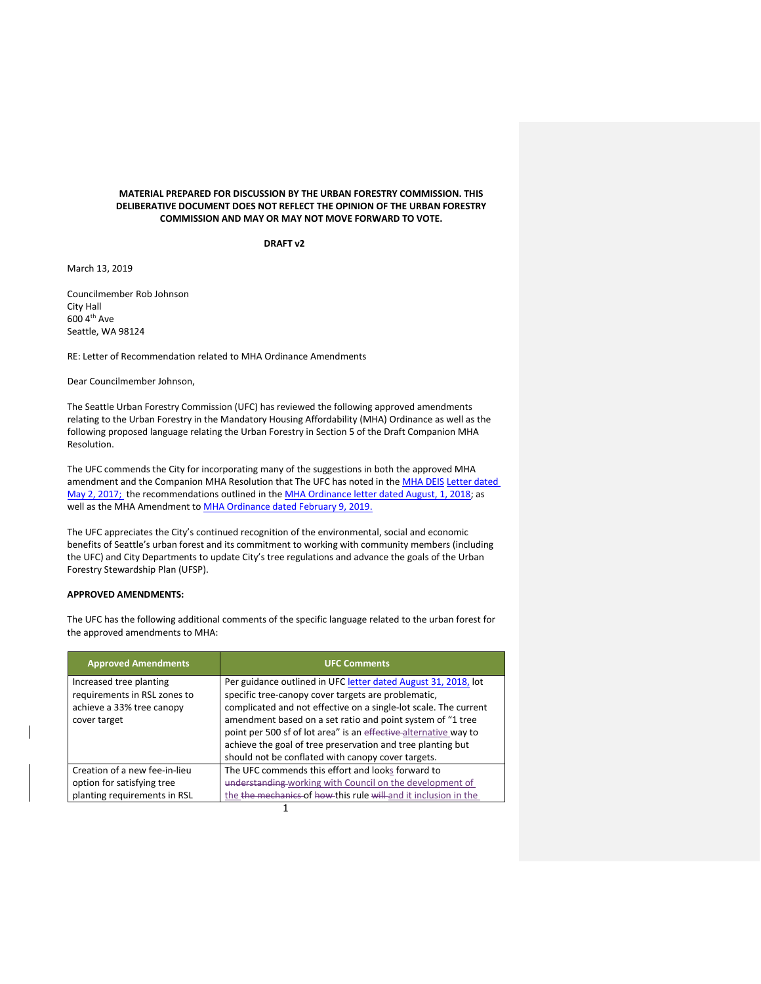## **MATERIAL PREPARED FOR DISCUSSION BY THE URBAN FORESTRY COMMISSION. THIS DELIBERATIVE DOCUMENT DOES NOT REFLECT THE OPINION OF THE URBAN FORESTRY COMMISSION AND MAY OR MAY NOT MOVE FORWARD TO VOTE.**

**DRAFT v2**

March 13, 2019

Councilmember Rob Johnson City Hall 600 4th Ave Seattle, WA 98124

RE: Letter of Recommendation related to MHA Ordinance Amendments

Dear Councilmember Johnson,

The Seattle Urban Forestry Commission (UFC) has reviewed the following approved amendments relating to the Urban Forestry in the Mandatory Housing Affordability (MHA) Ordinance as well as the following proposed language relating the Urban Forestry in Section 5 of the Draft Companion MHA Resolution.

The UFC commends the City for incorporating many of the suggestions in both the approved MHA amendment and the Companion MHA Resolution that The UFC has noted in the [MHA DEIS](http://www.seattle.gov/Documents/Departments/UrbanForestryCommission/FinalIssuedDocuments/Recommendations/ADOPTEDMHAEISRecommendation080217.pdf) [Letter dated](http://www.seattle.gov/Documents/Departments/UrbanForestryCommission/FinalIssuedDocuments/Recommendations/ADOPTEDMHAEISRecommendation080217.pdf)  [May 2, 2017;](http://www.seattle.gov/Documents/Departments/UrbanForestryCommission/FinalIssuedDocuments/Recommendations/ADOPTEDMHAEISRecommendation080217.pdf) the recommendations outlined in the [MHA Ordinance letter dated August, 1, 2018;](https://www.seattle.gov/Documents/Departments/UrbanForestryCommission/FinalIssuedDocuments/Recommendations/ADOPTEDMHAOrdinanceGreenFactorLetter080118.pdf) as well as the MHA Amendment to [MHA Ordinance dated February](https://www.seattle.gov/Documents/Departments/UrbanForestryCommission/FinalIssuedDocuments/Recommendations/ADOPTEDMHAOrdinanceSMC25.11.090Jan2019.pdf) 9, 2019.

The UFC appreciates the City's continued recognition of the environmental, social and economic benefits of Seattle's urban forest and its commitment to working with community members (including the UFC) and City Departments to update City's tree regulations and advance the goals of the Urban Forestry Stewardship Plan (UFSP).

## **APPROVED AMENDMENTS:**

The UFC has the following additional comments of the specific language related to the urban forest for the approved amendments to MHA:

| <b>Approved Amendments</b>                                                                           | <b>UFC Comments</b>                                                                                                                                                                                                                                                                                                                                                                                                                              |
|------------------------------------------------------------------------------------------------------|--------------------------------------------------------------------------------------------------------------------------------------------------------------------------------------------------------------------------------------------------------------------------------------------------------------------------------------------------------------------------------------------------------------------------------------------------|
| Increased tree planting<br>requirements in RSL zones to<br>achieve a 33% tree canopy<br>cover target | Per guidance outlined in UFC letter dated August 31, 2018, lot<br>specific tree-canopy cover targets are problematic,<br>complicated and not effective on a single-lot scale. The current<br>amendment based on a set ratio and point system of "1 tree<br>point per 500 sf of lot area" is an effective alternative way to<br>achieve the goal of tree preservation and tree planting but<br>should not be conflated with canopy cover targets. |
| Creation of a new fee-in-lieu<br>option for satisfying tree<br>planting requirements in RSL          | The UFC commends this effort and looks forward to<br>understanding working with Council on the development of<br>the the mechanics of how this rule will and it inclusion in the                                                                                                                                                                                                                                                                 |

1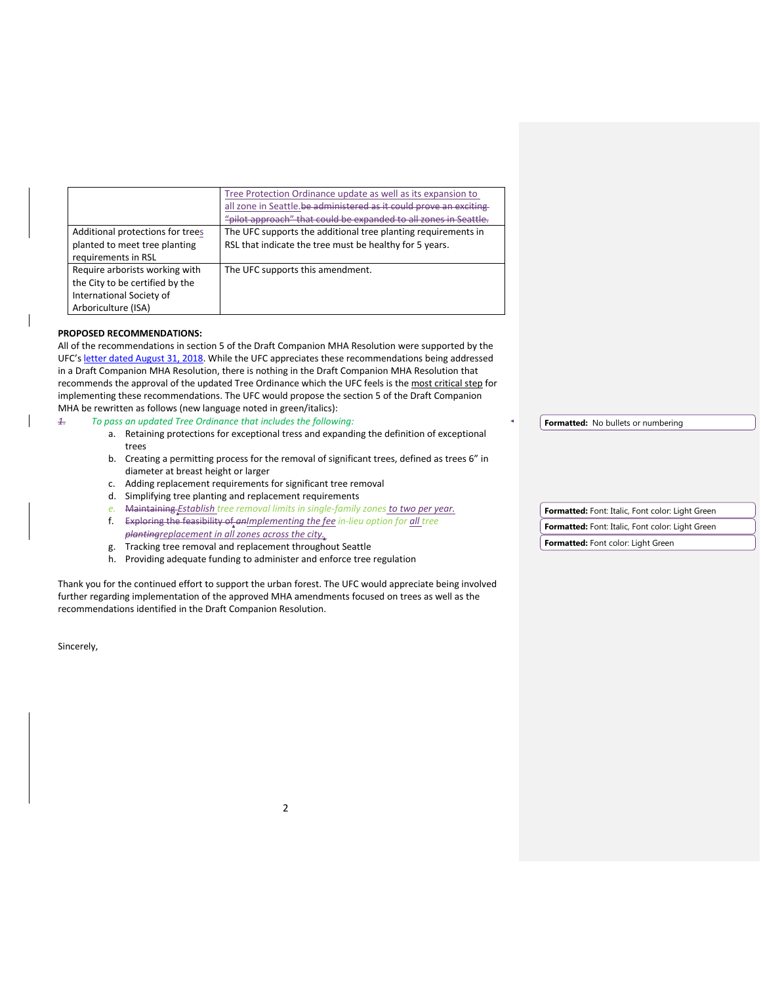|                                  | Tree Protection Ordinance update as well as its expansion to<br>all zone in Seattle.be administered as it could prove an exciting |  |
|----------------------------------|-----------------------------------------------------------------------------------------------------------------------------------|--|
|                                  | "pilot approach" that could be expanded to all zones in Seattle.                                                                  |  |
|                                  |                                                                                                                                   |  |
| Additional protections for trees | The UFC supports the additional tree planting requirements in                                                                     |  |
| planted to meet tree planting    | RSL that indicate the tree must be healthy for 5 years.                                                                           |  |
| requirements in RSL              |                                                                                                                                   |  |
| Require arborists working with   | The UFC supports this amendment.                                                                                                  |  |
| the City to be certified by the  |                                                                                                                                   |  |
| International Society of         |                                                                                                                                   |  |
| Arboriculture (ISA)              |                                                                                                                                   |  |

## **PROPOSED RECOMMENDATIONS:**

All of the recommendations in section 5 of the Draft Companion MHA Resolution were supported by the UFC's [letter dated August 31, 2018.](http://www.seattle.gov/Documents/Departments/UrbanForestryCommission/FinalIssuedDocuments/Recommendations/ADOPTEDLetterTreeOrd083118.pdf) While the UFC appreciates these recommendations being addressed in a Draft Companion MHA Resolution, there is nothing in the Draft Companion MHA Resolution that recommends the approval of the updated Tree Ordinance which the UFC feels is the most critical step for implementing these recommendations. The UFC would propose the section 5 of the Draft Companion MHA be rewritten as follows (new language noted in green/italics):

## *1. To pass an updated Tree Ordinance that includes the following:*

- a. Retaining protections for exceptional tress and expanding the definition of exceptional trees
- b. Creating a permitting process for the removal of significant trees, defined as trees 6" in diameter at breast height or larger
- c. Adding replacement requirements for significant tree removal
- d. Simplifying tree planting and replacement requirements

| e. Maintaining Establish tree removal limits in single-family zones to two per year.                                                  |  | Formatted: Font: Italic, Font color: Light Green |
|---------------------------------------------------------------------------------------------------------------------------------------|--|--------------------------------------------------|
| Exploring the feasibility of an Implementing the fee in-lieu option for all tree<br>plantingreplacement in all zones across the city. |  | Formatted: Font: Italic, Font color: Light Green |
| Tracking tree removal and replacement throughout Seattle                                                                              |  | <b>Formatted:</b> Font color: Light Green        |

h. Providing adequate funding to administer and enforce tree regulation

Thank you for the continued effort to support the urban forest. The UFC would appreciate being involved further regarding implementation of the approved MHA amendments focused on trees as well as the recommendations identified in the Draft Companion Resolution.

Sincerely,

**Formatted:** No bullets or numbering